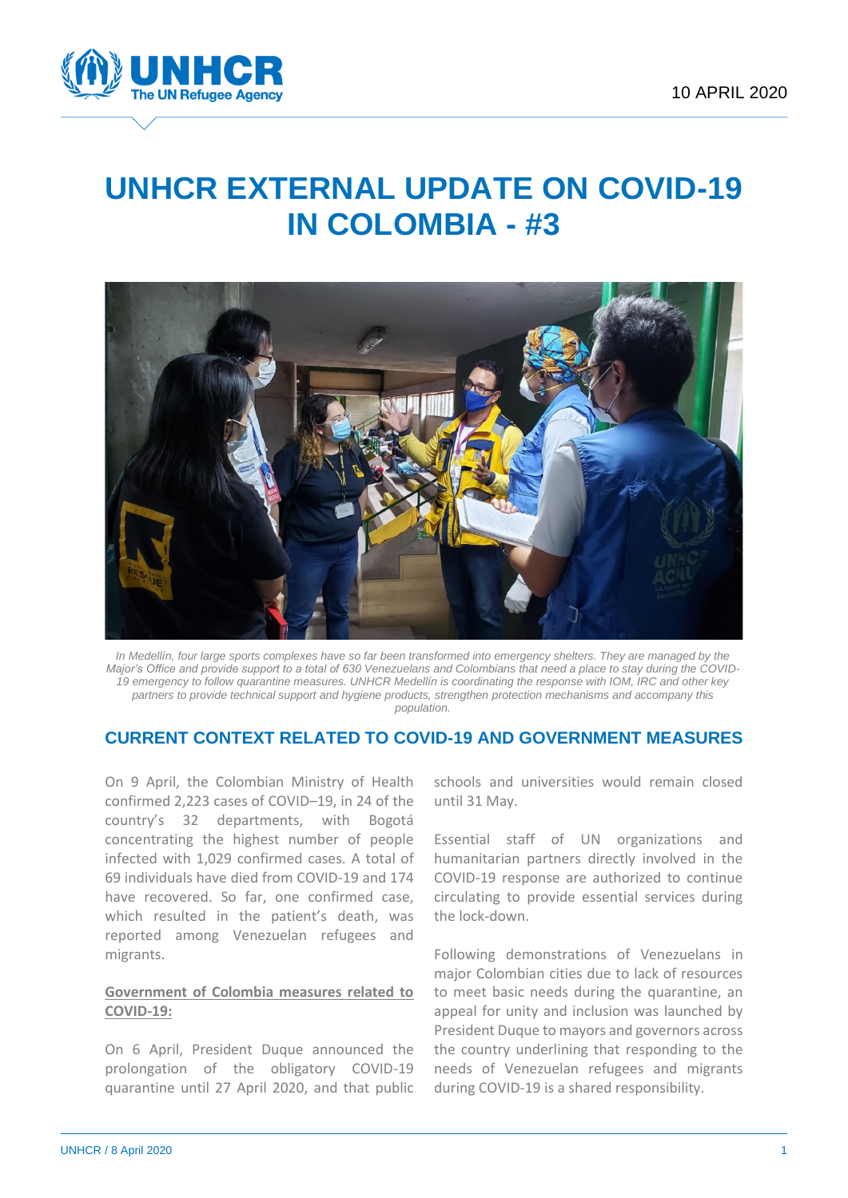

# **UNHCR EXTERNAL UPDATE ON COVID-19 IN COLOMBIA - #3**



In Medellín, four large sports complexes have so far been transformed into emergency shelters. They are managed by the *Major's Office and provide support to a total of 630 Venezuelans and Colombians that need a place to stay during the COVID-19 emergency to follow quarantine measures. UNHCR Medellín is coordinating the response with IOM, IRC and other key partners to provide technical support and hygiene products, strengthen protection mechanisms and accompany this population.*

## **CURRENT CONTEXT RELATED TO COVID-19 AND GOVERNMENT MEASURES**

On 9 April, the Colombian Ministry of Health confirmed 2,223 cases of COVID–19, in 24 of the country's 32 departments, with Bogotá concentrating the highest number of people infected with 1,029 confirmed cases. A total of 69 individuals have died from COVID-19 and 174 have recovered. So far, one confirmed case, which resulted in the patient's death, was reported among Venezuelan refugees and migrants.

### **Government of Colombia measures related to COVID-19:**

On 6 April, President Duque announced the prolongation of the obligatory COVID-19 quarantine until 27 April 2020, and that public schools and universities would remain closed until 31 May.

Essential staff of UN organizations and humanitarian partners directly involved in the COVID-19 response are authorized to continue circulating to provide essential services during the lock-down.

Following demonstrations of Venezuelans in major Colombian cities due to lack of resources to meet basic needs during the quarantine, an appeal for unity and inclusion was launched by President Duque to mayors and governors across the country underlining that responding to the needs of Venezuelan refugees and migrants during COVID-19 is a shared responsibility.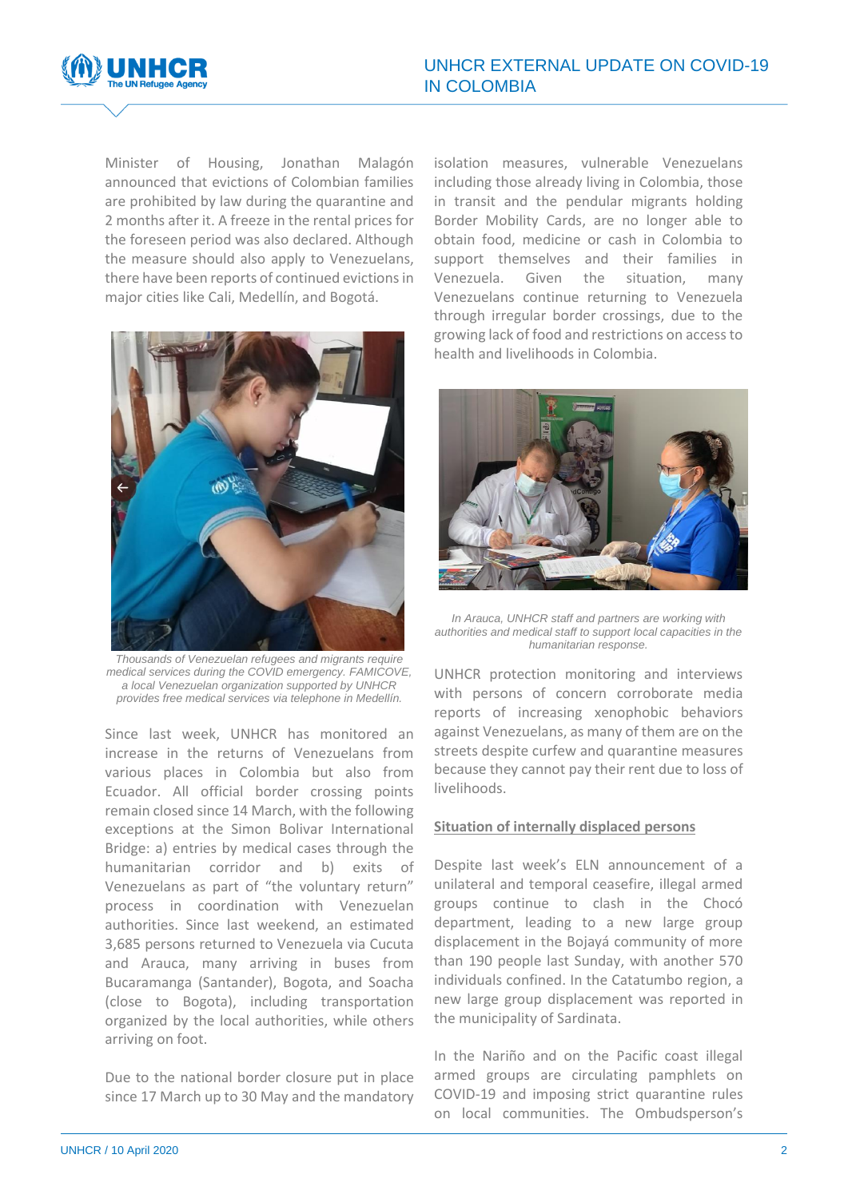

Minister of Housing, Jonathan Malagón announced that evictions of Colombian families are prohibited by law during the quarantine and 2 months after it. A freeze in the rental prices for the foreseen period was also declared. Although the measure should also apply to Venezuelans, there have been reports of continued evictions in major cities like Cali, Medellín, and Bogotá.



*Thousands of Venezuelan refugees and migrants require medical services during the COVID emergency. FAMICOVE, a local Venezuelan organization supported by UNHCR provides free medical services via telephone in Medellín.*

Since last week, UNHCR has monitored an increase in the returns of Venezuelans from various places in Colombia but also from Ecuador. All official border crossing points remain closed since 14 March, with the following exceptions at the Simon Bolivar International Bridge: a) entries by medical cases through the humanitarian corridor and b) exits of Venezuelans as part of "the voluntary return" process in coordination with Venezuelan authorities. Since last weekend, an estimated 3,685 persons returned to Venezuela via Cucuta and Arauca, many arriving in buses from Bucaramanga (Santander), Bogota, and Soacha (close to Bogota), including transportation organized by the local authorities, while others arriving on foot.

Due to the national border closure put in place since 17 March up to 30 May and the mandatory isolation measures, vulnerable Venezuelans including those already living in Colombia, those in transit and the pendular migrants holding Border Mobility Cards, are no longer able to obtain food, medicine or cash in Colombia to support themselves and their families in Venezuela. Given the situation, many Venezuelans continue returning to Venezuela through irregular border crossings, due to the growing lack of food and restrictions on access to health and livelihoods in Colombia.



*In Arauca, UNHCR staff and partners are working with authorities and medical staff to support local capacities in the humanitarian response.*

UNHCR protection monitoring and interviews with persons of concern corroborate media reports of increasing xenophobic behaviors against Venezuelans, as many of them are on the streets despite curfew and quarantine measures because they cannot pay their rent due to loss of livelihoods.

#### **Situation of internally displaced persons**

Despite last week's ELN announcement of a unilateral and temporal ceasefire, illegal armed groups continue to clash in the Chocó department, leading to a new large group displacement in the Bojayá community of more than 190 people last Sunday, with another 570 individuals confined. In the Catatumbo region, a new large group displacement was reported in the municipality of Sardinata.

In the Nariño and on the Pacific coast illegal armed groups are circulating pamphlets on COVID-19 and imposing strict quarantine rules on local communities. The Ombudsperson's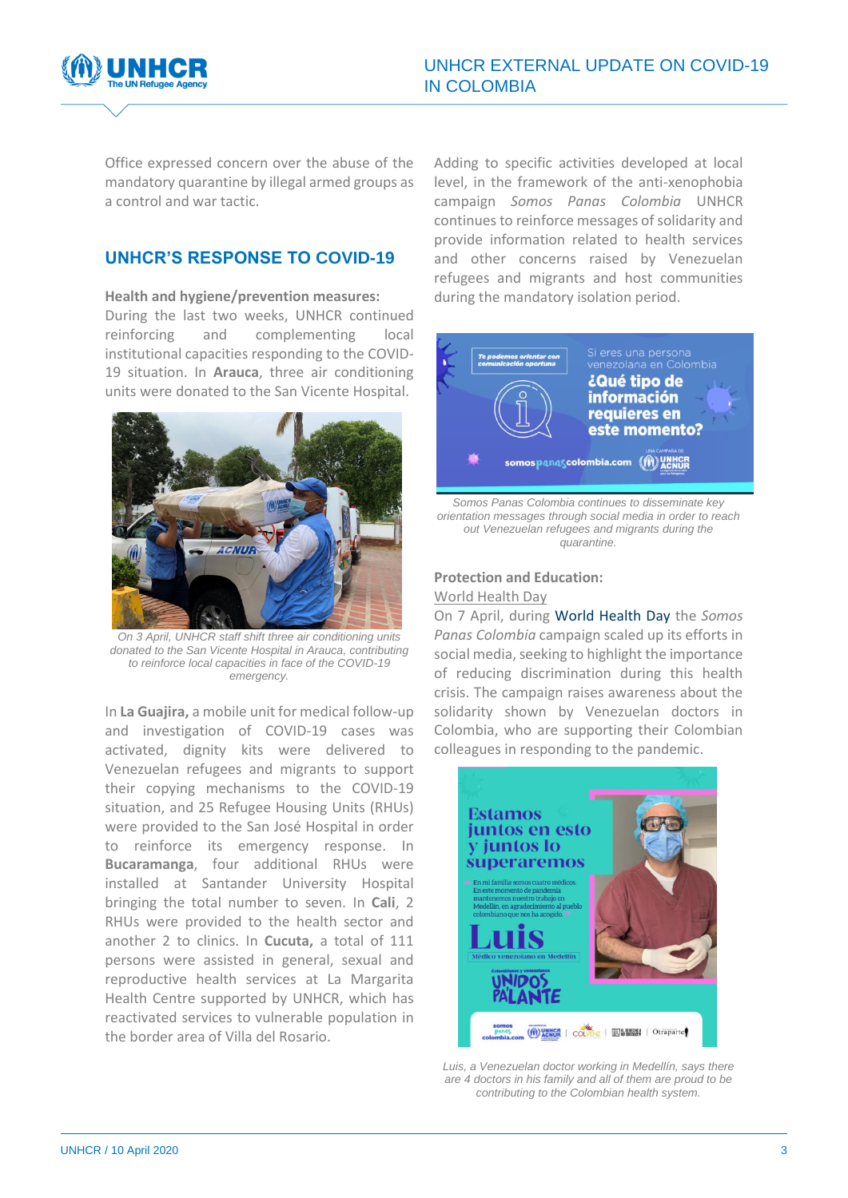

Office expressed concern over the abuse of the mandatory quarantine by illegal armed groups as a control and war tactic.

# **UNHCR'S RESPONSE TO COVID-19**

#### **Health and hygiene/prevention measures:**

During the last two weeks, UNHCR continued reinforcing and complementing local institutional capacities responding to the COVID-19 situation. In **Arauca**, three air conditioning units were donated to the San Vicente Hospital.



*On 3 April, UNHCR staff shift three air conditioning units donated to the San Vicente Hospital in Arauca, contributing to reinforce local capacities in face of the COVID-19 emergency.*

In **La Guajira,** a mobile unit for medical follow-up and investigation of COVID-19 cases was activated, dignity kits were delivered to Venezuelan refugees and migrants to support their copying mechanisms to the COVID-19 situation, and 25 Refugee Housing Units (RHUs) were provided to the San José Hospital in order to reinforce its emergency response. In **Bucaramanga**, four additional RHUs were installed at Santander University Hospital bringing the total number to seven. In **Cali**, 2 RHUs were provided to the health sector and another 2 to clinics. In **Cucuta,** a total of 111 persons were assisted in general, sexual and reproductive health services at La Margarita Health Centre supported by UNHCR, which has reactivated services to vulnerable population in the border area of Villa del Rosario.

Adding to specific activities developed at local level, in the framework of the anti-xenophobia campaign *Somos Panas Colombia* UNHCR continues t[o reinforce messages of solidarity and](https://twitter.com/SomosPanasCol/status/1247269250076741633)  [provide information related to health services](https://twitter.com/SomosPanasCol/status/1247269250076741633)  [and other concerns](https://twitter.com/SomosPanasCol/status/1247269250076741633) raised by Venezuelan refugees and migrants and host communities during the mandatory isolation period.



*orientation messages through social media in order to reach out Venezuelan refugees and migrants during the quarantine.*

#### **Protection and Education:**

#### World Health Day

On 7 April, during [World Health Day](https://www.who.int/news-room/campaigns/world-health-day/world-health-day-2020) the *Somos Panas Colombia* campaign scaled up its efforts in social media, seeking to highlight the importance of reducing discrimination during this health crisis. The campaign raises awareness about the solidarity shown by Venezuelan doctors in Colombia, who are supporting their Colombian colleagues in responding to the pandemic.



*Luis, a Venezuelan doctor working in Medellín, says there are 4 doctors in his family and all of them are proud to be contributing to the Colombian health system.*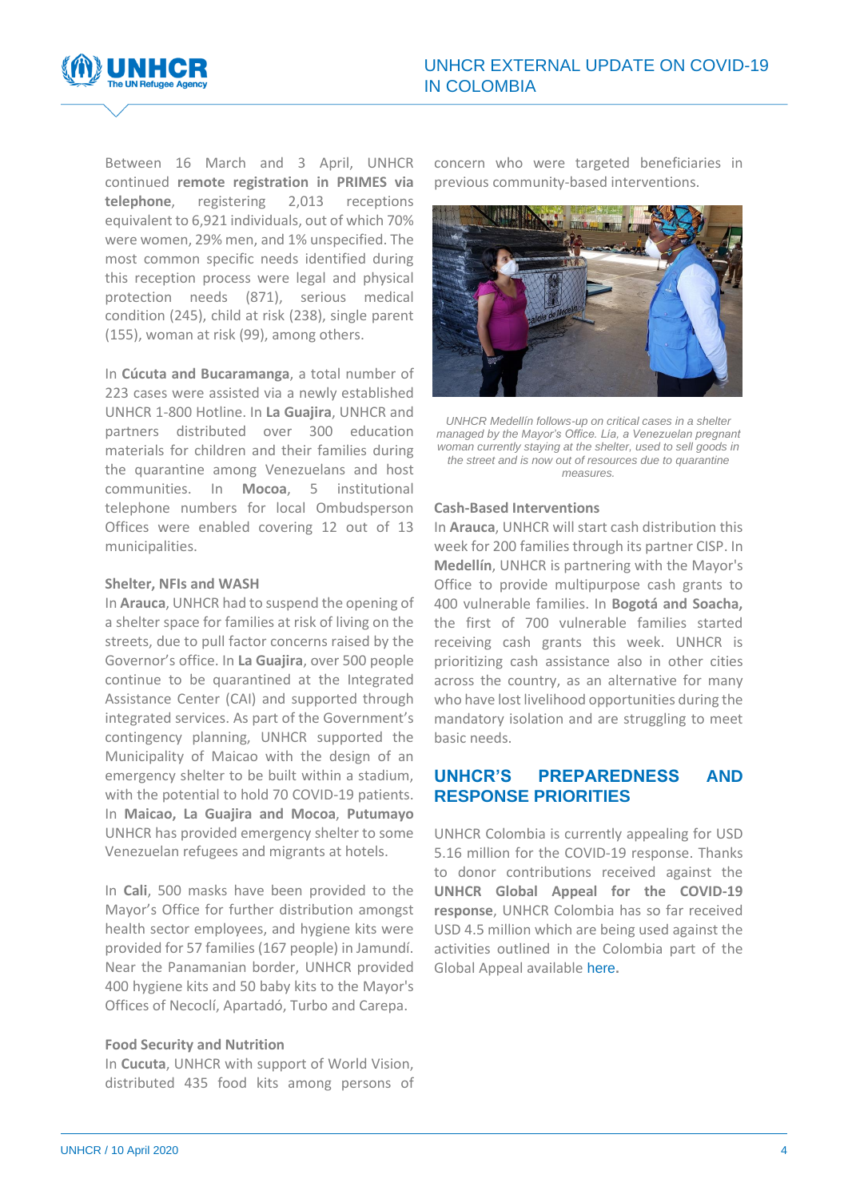

Between 16 March and 3 April, UNHCR continued **remote registration in PRIMES via telephone**, registering 2,013 receptions equivalent to 6,921 individuals, out of which 70% were women, 29% men, and 1% unspecified. The most common specific needs identified during this reception process were legal and physical protection needs (871), serious medical condition (245), child at risk (238), single parent (155), woman at risk (99), among others.

In **Cúcuta and Bucaramanga**, a total number of 223 cases were assisted via a newly established UNHCR 1-800 Hotline. In **La Guajira**, UNHCR and partners distributed over 300 education materials for children and their families during the quarantine among Venezuelans and host communities. In **Mocoa**, 5 institutional telephone numbers for local Ombudsperson Offices were enabled covering 12 out of 13 municipalities.

#### **Shelter, NFIs and WASH**

In **Arauca**, UNHCR had to suspend the opening of a shelter space for families at risk of living on the streets, due to pull factor concerns raised by the Governor's office. In **La Guajira**, over 500 people continue to be quarantined at the Integrated Assistance Center (CAI) and supported through integrated services. As part of the Government's contingency planning, UNHCR supported the Municipality of Maicao with the design of an emergency shelter to be built within a stadium, with the potential to hold 70 COVID-19 patients. In **Maicao, La Guajira and Mocoa**, **Putumayo** UNHCR has provided emergency shelter to some Venezuelan refugees and migrants at hotels.

In **Cali**, 500 masks have been provided to the Mayor's Office for further distribution amongst health sector employees, and hygiene kits were provided for 57 families (167 people) in Jamundí. Near the Panamanian border, UNHCR provided 400 hygiene kits and 50 baby kits to the Mayor's Offices of Necoclí, Apartadó, Turbo and Carepa.

#### **Food Security and Nutrition**

In **Cucuta**, UNHCR with support of World Vision, distributed 435 food kits among persons of concern who were targeted beneficiaries in previous community-based interventions.



*UNHCR Medellín follows-up on critical cases in a shelter managed by the Mayor's Office. Lía, a Venezuelan pregnant woman currently staying at the shelter, used to sell goods in the street and is now out of resources due to quarantine measures.*

#### **Cash-Based Interventions**

In **Arauca**, UNHCR will start cash distribution this week for 200 families through its partner CISP. In **Medellín**, UNHCR is partnering with the Mayor's Office to provide multipurpose cash grants to 400 vulnerable families. In **Bogotá and Soacha,**  the first of 700 vulnerable families started receiving cash grants this week. UNHCR is prioritizing cash assistance also in other cities across the country, as an alternative for many who have lost livelihood opportunities during the mandatory isolation and are struggling to meet basic needs.

## **UNHCR'S PREPAREDNESS AND RESPONSE PRIORITIES**

UNHCR Colombia is currently appealing for USD 5.16 million for the COVID-19 response. Thanks to donor contributions received against the **UNHCR Global Appeal for the COVID-19 response**, UNHCR Colombia has so far received USD 4.5 million which are being used against the activities outlined in the Colombia part of the Global Appeal available [here](http://reporting.unhcr.org/download?file=COVID-19%20appeal%20-%20REVISED%20-%20FINAL.pdf)**.**